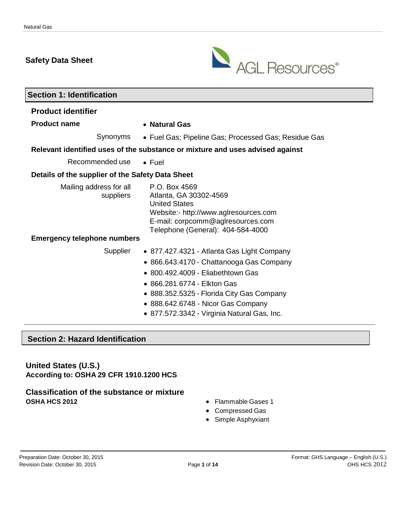# **Safety Data Sheet**



| <b>Section 1: Identification</b>                 |                                                                                                                                                                                                                                                                                              |  |  |  |  |
|--------------------------------------------------|----------------------------------------------------------------------------------------------------------------------------------------------------------------------------------------------------------------------------------------------------------------------------------------------|--|--|--|--|
| <b>Product identifier</b>                        |                                                                                                                                                                                                                                                                                              |  |  |  |  |
| <b>Product name</b>                              | • Natural Gas                                                                                                                                                                                                                                                                                |  |  |  |  |
| Synonyms                                         | • Fuel Gas; Pipeline Gas; Processed Gas; Residue Gas                                                                                                                                                                                                                                         |  |  |  |  |
|                                                  | Relevant identified uses of the substance or mixture and uses advised against                                                                                                                                                                                                                |  |  |  |  |
| Recommended use                                  | $\bullet$ Fuel                                                                                                                                                                                                                                                                               |  |  |  |  |
| Details of the supplier of the Safety Data Sheet |                                                                                                                                                                                                                                                                                              |  |  |  |  |
| Mailing address for all<br>suppliers             | P.O. Box 4569<br>Atlanta, GA 30302-4569<br><b>United States</b><br>Website:- http://www.aglresources.com<br>E-mail: corpcomm@aglresources.com<br>Telephone (General): 404-584-4000                                                                                                           |  |  |  |  |
| <b>Emergency telephone numbers</b>               |                                                                                                                                                                                                                                                                                              |  |  |  |  |
| Supplier                                         | • 877.427.4321 - Atlanta Gas Light Company<br>• 866.643.4170 - Chattanooga Gas Company<br>• 800.492.4009 - Eliabethtown Gas<br>• 866,281,6774 - Elkton Gas<br>• 888.352.5325 - Florida City Gas Company<br>• 888.642.6748 - Nicor Gas Company<br>• 877.572.3342 - Virginia Natural Gas, Inc. |  |  |  |  |
|                                                  |                                                                                                                                                                                                                                                                                              |  |  |  |  |

# **Section 2: Hazard Identification**

**United States (U.S.) According to: OSHA 29 CFR 1910.1200 HCS**

# **Classification of the substance or mixture**

- **•** Flammable Gases 1
- Compressed Gas
- Simple Asphyxiant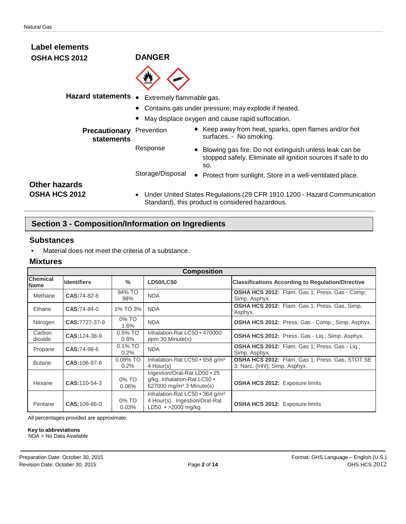| <b>Label elements</b>                 |                          |                                                                                                                                 |
|---------------------------------------|--------------------------|---------------------------------------------------------------------------------------------------------------------------------|
| <b>OSHA HCS 2012</b>                  | <b>DANGER</b>            |                                                                                                                                 |
|                                       |                          |                                                                                                                                 |
| <b>Hazard statements</b>              | Extremely flammable gas. |                                                                                                                                 |
|                                       |                          | • Contains gas under pressure; may explode if heated.                                                                           |
|                                       |                          | May displace oxygen and cause rapid suffocation.                                                                                |
| <b>Precautionary</b><br>statements    | Prevention               | • Keep away from heat, sparks, open flames and/or hot<br>surfaces. - No smoking.                                                |
|                                       | Response                 | • Blowing gas fire: Do not extinguish unless leak can be<br>stopped safely. Eliminate all ignition sources if safe to do<br>SO. |
|                                       | Storage/Disposal         | Protect from sunlight. Store in a well-ventilated place.                                                                        |
| <b>Other hazards</b><br>OSHA HCS 2012 |                          | Under United States Regulations (29 CFR 1910.1200 - Hazard Communication<br>Standard), this product is considered hazardous.    |

# **Section 3 - Composition/Information on Ingredients**

#### **Substances**

• Material does not meet the criteria of a substance.

#### **Mixtures**

|                                | <b>Composition</b> |                       |                                                                                                     |                                                                                          |  |  |
|--------------------------------|--------------------|-----------------------|-----------------------------------------------------------------------------------------------------|------------------------------------------------------------------------------------------|--|--|
| <b>Chemical</b><br><b>Name</b> | <b>Identifiers</b> | $\%$                  | <b>LD50/LC50</b>                                                                                    | <b>Classifications According to Regulation/Directive</b>                                 |  |  |
| Methane                        | CAS:74-82-8        | 94% TO<br>98%         | <b>NDA</b>                                                                                          | <b>OSHA HCS 2012:</b> Flam. Gas 1; Press. Gas - Comp;<br>Simp. Asphyx.                   |  |  |
| Ethane                         | $CAS:74-84-0$      | 1% TO 3%              | <b>NDA</b>                                                                                          | OSHA HCS 2012: Flam. Gas 1; Press. Gas, Simp.<br>Asphyx.                                 |  |  |
| Nitrogen                       | CAS:7727-37-9      | 0% TO<br>1.6%         | <b>NDA</b>                                                                                          | <b>OSHA HCS 2012:</b> Press. Gas - Comp.; Simp. Asphyx.                                  |  |  |
| Carbon<br>dioxide              | CAS: 124-38-9      | 0.5% TO<br>0.8%       | Inhalation-Rat LC50 • 470000<br>ppm 30 Minute(s)                                                    | <b>OSHA HCS 2012:</b> Press. Gas - Lig.; Simp. Asphyx.                                   |  |  |
| Propane                        | CAS:74-98-6        | $0.1\%$ TO<br>$0.2\%$ | <b>NDA</b>                                                                                          | <b>OSHA HCS 2012:</b> Flam. Gas 1; Press. Gas - Lig.;<br>Simp. Asphyx.                   |  |  |
| <b>Butane</b>                  | CAS: 106-97-8      | $0.08\%$ TO<br>0.2%   | Inhalation-Rat LC50 • 658 g/m <sup>3</sup><br>4 Hour(s)                                             | <b>OSHA HCS 2012:</b> Flam. Gas 1; Press. Gas; STOT SE<br>3: Narc. (Inhl); Simp. Asphyx. |  |  |
| Hexane                         | CAS: 110-54-3      | 0% TO<br>$0.06\%$     | Ingestion/Oral-Rat LD50 • 25<br>g/kg. Inhalation-Rat LC50 .<br>627000 mg/m <sup>3</sup> 3 Minute(s) | OSHA HCS 2012: Exposure limits                                                           |  |  |
| Pentane                        | CAS: 109-66-0      | 0% TO<br>0.03%        | Inhalation-Rat LC50 • 364 g/m <sup>3</sup><br>4 Hour(s). Ingestion/Oral-Rat<br>LD50 • > 2000 mg/kg  | <b>OSHA HCS 2012: Exposure limits</b>                                                    |  |  |

All percentages provided are approximate.

#### **Key to abbreviations** NDA = No Data Available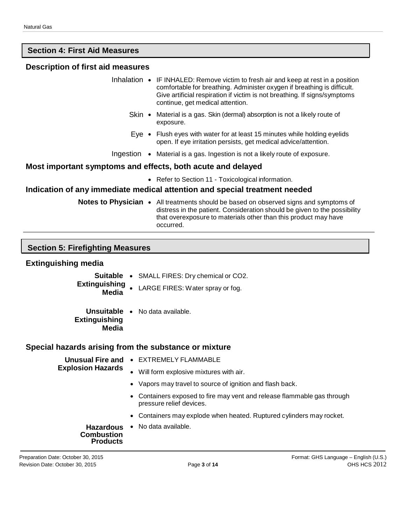# **Section 4: First Aid Measures**

#### **Description of first aid measures**

- Inhalation IF INHALED: Remove victim to fresh air and keep at rest in a position comfortable for breathing. Administer oxygen if breathing is difficult. Give artificial respiration if victim is not breathing. If signs/symptoms continue, get medical attention.
	- Skin Material is a gas. Skin (dermal) absorption is not a likely route of exposure.
	- Eye Flush eyes with water for at least 15 minutes while holding eyelids open. If eye irritation persists, get medical advice/attention.
- Ingestion Material is a gas. Ingestion is not a likely route of exposure.

#### **Most important symptoms and effects, both acute and delayed**

• Refer to Section 11 - Toxicological information.

## **Indication of any immediate medical attention and special treatment needed**

**Notes to Physician •** All treatments should be based on observed signs and symptoms of distress in the patient. Consideration should be given to the possibility that overexposure to materials other than this product may have occurred.

#### **Section 5: Firefighting Measures**

#### **Extinguishing media**

- **Suitable** SMALL FIRES: Dry chemical or CO2.
- **Extinguishing** LARGE FIRES: Water spray or fog. **Media**
- **Unsuitable** No data available. **Extinguishing Media**

#### **Special hazards arising from the substance or mixture**

**Explosion Hazards**

- **Unusual Fire and** EXTREMELY FLAMMABLE
- - Will form explosive mixtures with air.
	- Vapors may travel to source of ignition and flash back.
	- Containers exposed to fire may vent and release flammable gas through pressure relief devices.
	- Containers may explode when heated. Ruptured cylinders may rocket.

**Hazardous** • No data available.**Combustion Products**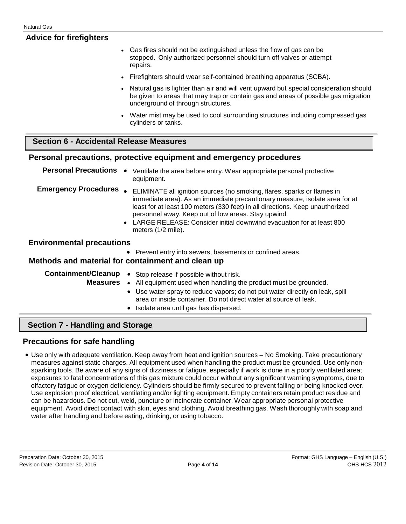| <b>Advice for firefighters</b>                 |                                                                                                                                                                                                                                                                                                                                                                                              |
|------------------------------------------------|----------------------------------------------------------------------------------------------------------------------------------------------------------------------------------------------------------------------------------------------------------------------------------------------------------------------------------------------------------------------------------------------|
|                                                | Gas fires should not be extinguished unless the flow of gas can be<br>$\bullet$<br>stopped. Only authorized personnel should turn off valves or attempt<br>repairs.                                                                                                                                                                                                                          |
|                                                | Firefighters should wear self-contained breathing apparatus (SCBA).<br>$\bullet$                                                                                                                                                                                                                                                                                                             |
|                                                | Natural gas is lighter than air and will vent upward but special consideration should<br>be given to areas that may trap or contain gas and areas of possible gas migration<br>underground of through structures.                                                                                                                                                                            |
|                                                | Water mist may be used to cool surrounding structures including compressed gas<br>cylinders or tanks.                                                                                                                                                                                                                                                                                        |
| <b>Section 6 - Accidental Release Measures</b> |                                                                                                                                                                                                                                                                                                                                                                                              |
|                                                | Personal precautions, protective equipment and emergency procedures                                                                                                                                                                                                                                                                                                                          |
| <b>Personal Precautions</b>                    | Ventilate the area before entry. Wear appropriate personal protective<br>equipment.                                                                                                                                                                                                                                                                                                          |
| <b>Emergency Procedures</b>                    | ELIMINATE all ignition sources (no smoking, flares, sparks or flames in<br>immediate area). As an immediate precautionary measure, isolate area for at<br>least for at least 100 meters (330 feet) in all directions. Keep unauthorized<br>personnel away. Keep out of low areas. Stay upwind.<br>LARGE RELEASE: Consider initial downwind evacuation for at least 800<br>meters (1/2 mile). |
| <b>Environmental precautions</b>               |                                                                                                                                                                                                                                                                                                                                                                                              |
|                                                | Prevent entry into sewers, basements or confined areas.<br>Methods and material for containment and clean up                                                                                                                                                                                                                                                                                 |
| <b>Containment/Cleanup</b><br><b>Measures</b>  | Stop release if possible without risk.<br>• All equipment used when handling the product must be grounded.<br>Use water spray to reduce vapors; do not put water directly on leak, spill<br>$\bullet$<br>area or inside container. Do not direct water at source of leak.<br>Isolate area until gas has dispersed.                                                                           |

# **Section 7 - Handling and Storage**

# **Precautions for safe handling**

• Use only with adequate ventilation. Keep away from heat and ignition sources – No Smoking. Take precautionary measures against static charges. All equipment used when handling the product must be grounded. Use only nonsparking tools. Be aware of any signs of dizziness or fatigue, especially if work is done in a poorly ventilated area; exposures to fatal concentrations of this gas mixture could occur without any significant warning symptoms, due to olfactory fatigue or oxygen deficiency. Cylinders should be firmly secured to prevent falling or being knocked over. Use explosion proof electrical, ventilating and/or lighting equipment. Empty containers retain product residue and can be hazardous. Do not cut, weld, puncture or incinerate container. Wear appropriate personal protective equipment. Avoid direct contact with skin, eyes and clothing. Avoid breathing gas. Wash thoroughly with soap and water after handling and before eating, drinking, or using tobacco.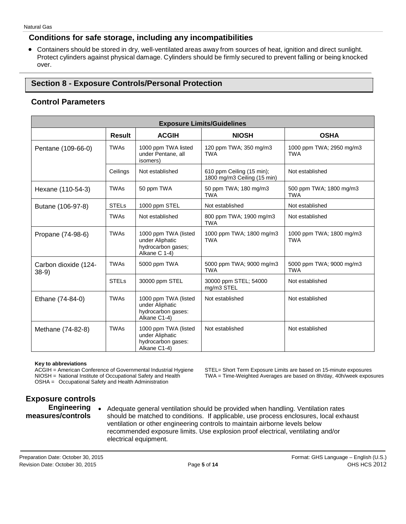## **Conditions for safe storage, including any incompatibilities**

• Containers should be stored in dry, well-ventilated areas away from sources of heat, ignition and direct sunlight. Protect cylinders against physical damage. Cylinders should be firmly secured to prevent falling or being knocked over.

# **Section 8 - Exposure Controls/Personal Protection**

## **Control Parameters**

| <b>Exposure Limits/Guidelines</b> |               |                                                                                |                                                          |                                        |  |
|-----------------------------------|---------------|--------------------------------------------------------------------------------|----------------------------------------------------------|----------------------------------------|--|
|                                   | <b>Result</b> | <b>ACGIH</b>                                                                   | <b>OSHA</b>                                              |                                        |  |
| Pentane (109-66-0)                | <b>TWAs</b>   | 1000 ppm TWA listed<br>under Pentane, all<br>isomers)                          | 120 ppm TWA; 350 mg/m3<br><b>TWA</b>                     | 1000 ppm TWA; 2950 mg/m3<br>TWA        |  |
|                                   | Ceilings      | Not established                                                                | 610 ppm Ceiling (15 min);<br>1800 mg/m3 Ceiling (15 min) | Not established                        |  |
| Hexane (110-54-3)                 | <b>TWAs</b>   | 50 ppm TWA                                                                     | 50 ppm TWA; 180 mg/m3<br><b>TWA</b>                      | 500 ppm TWA; 1800 mg/m3<br>TWA         |  |
| Butane (106-97-8)                 | <b>STELs</b>  | 1000 ppm STEL                                                                  | Not established                                          | Not established                        |  |
|                                   | <b>TWAs</b>   | Not established                                                                | 800 ppm TWA; 1900 mg/m3<br><b>TWA</b>                    | Not established                        |  |
| Propane (74-98-6)                 | <b>TWAs</b>   | 1000 ppm TWA (listed<br>under Aliphatic<br>hydrocarbon gases;<br>Alkane C 1-4) | 1000 ppm TWA; 1800 mg/m3<br><b>TWA</b>                   | 1000 ppm TWA; 1800 mg/m3<br><b>TWA</b> |  |
| Carbon dioxide (124-<br>$38-9)$   | <b>TWAs</b>   | 5000 ppm TWA                                                                   | 5000 ppm TWA; 9000 mg/m3<br><b>TWA</b>                   | 5000 ppm TWA; 9000 mg/m3<br><b>TWA</b> |  |
|                                   | <b>STELs</b>  | 30000 ppm STEL                                                                 | 30000 ppm STEL; 54000<br>mg/m3 STEL                      | Not established                        |  |
| Ethane (74-84-0)                  | <b>TWAs</b>   | 1000 ppm TWA (listed<br>under Aliphatic<br>hydrocarbon gases:<br>Alkane C1-4)  | Not established                                          | Not established                        |  |
| Methane (74-82-8)                 | <b>TWAs</b>   | 1000 ppm TWA (listed<br>under Aliphatic<br>hydrocarbon gases:<br>Alkane C1-4)  | Not established                                          | Not established                        |  |

**Key to abbreviations** OSHA = Occupational Safety and Health Administration

ACGIH = American Conference of Governmental Industrial Hygiene STEL= Short Term Exposure Limits are based on 15-minute exposures<br>NIOSH = National Institute of Occupational Safety and Health TWA = Time-Weighted Averages are TWA = Time-Weighted Averages are based on 8h/day, 40h/week exposures

# **Exposure controls Engineering**

**measures/controls**

• Adequate general ventilation should be provided when handling. Ventilation rates should be matched to conditions. If applicable, use process enclosures, local exhaust ventilation or other engineering controls to maintain airborne levels below recommended exposure limits. Use explosion proof electrical, ventilating and/or electrical equipment.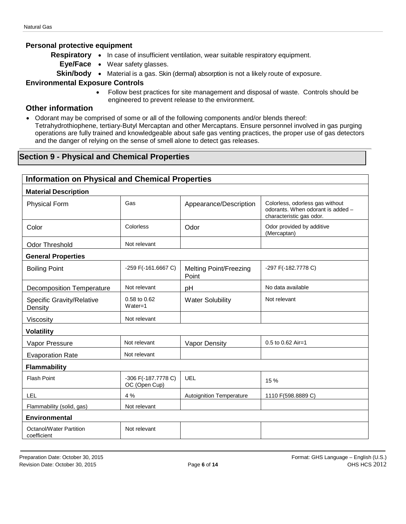#### **Personal protective equipment**

- **Respiratory** In case of insufficient ventilation, wear suitable respiratory equipment.
	- **Eye/Face** Wear safety glasses.
	- **Skin/body** Material is a gas. Skin (dermal) absorption is not a likely route of exposure.

#### **Environmental Exposure Controls**

• Follow best practices for site management and disposal of waste. Controls should be engineered to prevent release to the environment.

#### **Other information**

• Odorant may be comprised of some or all of the following components and/or blends thereof: Tetrahydrothiophene, tertiary-Butyl Mercaptan and other Mercaptans. Ensure personnel involved in gas purging operations are fully trained and knowledgeable about safe gas venting practices, the proper use of gas detectors and the danger of relying on the sense of smell alone to detect gas releases.

# **Section 9 - Physical and Chemical Properties**

| <b>Information on Physical and Chemical Properties</b> |                                      |                                        |                                                                                                  |  |  |
|--------------------------------------------------------|--------------------------------------|----------------------------------------|--------------------------------------------------------------------------------------------------|--|--|
| <b>Material Description</b>                            |                                      |                                        |                                                                                                  |  |  |
| <b>Physical Form</b>                                   | Gas                                  | Appearance/Description                 | Colorless, odorless gas without<br>odorants. When odorant is added -<br>characteristic gas odor. |  |  |
| Color                                                  | Colorless                            | Odor                                   | Odor provided by additive<br>(Mercaptan)                                                         |  |  |
| <b>Odor Threshold</b>                                  | Not relevant                         |                                        |                                                                                                  |  |  |
| <b>General Properties</b>                              |                                      |                                        |                                                                                                  |  |  |
| <b>Boiling Point</b>                                   | -259 F(-161.6667 C)                  | <b>Melting Point/Freezing</b><br>Point | -297 F(-182.7778 C)                                                                              |  |  |
| <b>Decomposition Temperature</b>                       | Not relevant                         | pH                                     | No data available                                                                                |  |  |
| Specific Gravity/Relative<br>Density                   | 0.58 to 0.62<br>$Water = 1$          | <b>Water Solubility</b>                | Not relevant                                                                                     |  |  |
| Viscosity                                              | Not relevant                         |                                        |                                                                                                  |  |  |
| <b>Volatility</b>                                      |                                      |                                        |                                                                                                  |  |  |
| Vapor Pressure                                         | Not relevant                         | Vapor Density                          | 0.5 to 0.62 Air=1                                                                                |  |  |
| <b>Evaporation Rate</b>                                | Not relevant                         |                                        |                                                                                                  |  |  |
| Flammability                                           |                                      |                                        |                                                                                                  |  |  |
| <b>Flash Point</b>                                     | -306 F(-187.7778 C)<br>OC (Open Cup) | <b>UEL</b>                             | 15 %                                                                                             |  |  |
| LEL                                                    | 4 %                                  | <b>Autoignition Temperature</b>        | 1110 F(598.8889 C)                                                                               |  |  |
| Flammability (solid, gas)                              | Not relevant                         |                                        |                                                                                                  |  |  |
| <b>Environmental</b>                                   |                                      |                                        |                                                                                                  |  |  |
| <b>Octanol/Water Partition</b><br>coefficient          | Not relevant                         |                                        |                                                                                                  |  |  |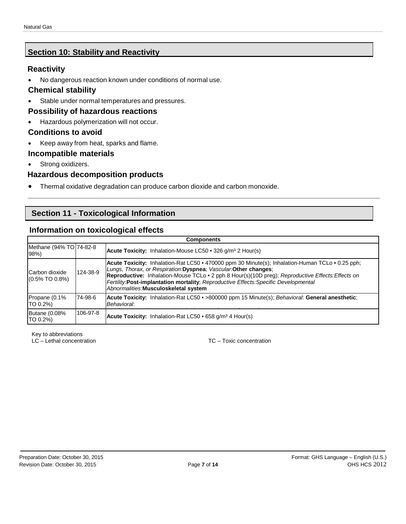# **Section 10: Stability and Reactivity**

# **Reactivity**

• No dangerous reaction known under conditions of normal use.

# **Chemical stability**

• Stable under normal temperatures and pressures.

# **Possibility of hazardous reactions**

• Hazardous polymerization will not occur.

# **Conditions to avoid**

• Keep away from heat, sparks and flame.

# **Incompatible materials**

• Strong oxidizers.

# **Hazardous decomposition products**

• Thermal oxidative degradation can produce carbon dioxide and carbon monoxide.

# **Section 11 - Toxicological Information**

# **Information on toxicological effects**

| <b>Components</b>                   |          |                                                                                                                                                                                                                                                                                                                                                                                                          |  |
|-------------------------------------|----------|----------------------------------------------------------------------------------------------------------------------------------------------------------------------------------------------------------------------------------------------------------------------------------------------------------------------------------------------------------------------------------------------------------|--|
| Methane (94% TO 74-82-8<br>98%      |          | <b>Acute Toxicity:</b> Inhalation-Mouse LC50 $\cdot$ 326 g/m <sup>3</sup> 2 Hour(s)                                                                                                                                                                                                                                                                                                                      |  |
| Carbon dioxide<br>$(0.5\%$ TO 0.8%) | 124-38-9 | Acute Toxicity: Inhalation-Rat LC50 • 470000 ppm 30 Minute(s); Inhalation-Human TCLo • 0.25 pph;<br>Lungs, Thorax, or Respiration: Dyspnea: Vascular: Other changes:<br>Reproductive: Inhalation-Mouse TCLo • 2 pph 8 Hour(s)(10D preg); Reproductive Effects: Effects on<br>Fertility:Post-implantation mortality; Reproductive Effects:Specific Developmental<br>Abnormalities: Musculoskeletal system |  |
| Propane (0.1%<br>TO 0.2%)           | 74-98-6  | Acute Toxicity: Inhalation-Rat LC50 • >800000 ppm 15 Minute(s); Behavioral: General anesthetic;<br>Behavioral:                                                                                                                                                                                                                                                                                           |  |
| <b>Butane (0.08%</b><br>TO 0.2%)    | 106-97-8 | <b>Acute Toxicity:</b> Inhalation-Rat LC50 $\cdot$ 658 g/m <sup>3</sup> 4 Hour(s)                                                                                                                                                                                                                                                                                                                        |  |

Key to abbreviations

LC – Lethal concentration TC – Toxic concentration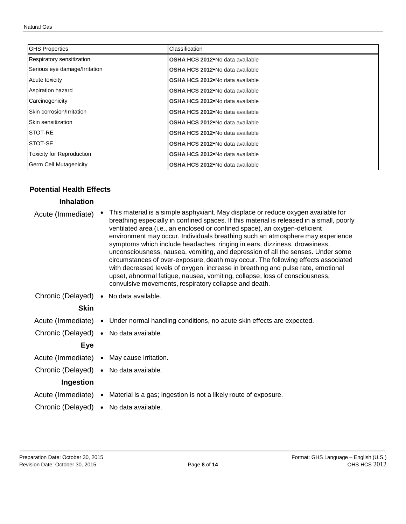| <b>GHS Properties</b>             | Classification                               |
|-----------------------------------|----------------------------------------------|
| Respiratory sensitization         | OSHA HCS 2012 <sup>•</sup> No data available |
| Serious eye damage/Irritation     | OSHA HCS 2012 <sup>•</sup> No data available |
| Acute toxicity                    | <b>OSHA HCS 2012</b> No data available       |
| Aspiration hazard                 | OSHA HCS 2012 <sup>•</sup> No data available |
| Carcinogenicity                   | <b>OSHA HCS 2012</b> No data available       |
| <b>ISkin corrosion/Irritation</b> | OSHA HCS 2012 <sup>•</sup> No data available |
| <b>Skin sensitization</b>         | <b>OSHA HCS 2012</b> No data available       |
| <b>ISTOT-RE</b>                   | OSHA HCS 2012 <sup>•</sup> No data available |
| <b>ISTOT-SE</b>                   | OSHA HCS 2012 <sup>•</sup> No data available |
| Toxicity for Reproduction         | OSHA HCS 2012 <sup>•</sup> No data available |
| <b>Germ Cell Mutagenicity</b>     | <b>OSHA HCS 2012</b> No data available       |

#### **Potential Health Effects**

#### **Inhalation**

| Acute (Immediate) | • This material is a simple asphyxiant. May displace or reduce oxygen available for<br>breathing especially in confined spaces. If this material is released in a small, poorly<br>ventilated area (i.e., an enclosed or confined space), an oxygen-deficient<br>environment may occur. Individuals breathing such an atmosphere may experience<br>symptoms which include headaches, ringing in ears, dizziness, drowsiness,<br>unconsciousness, nausea, vomiting, and depression of all the senses. Under some<br>circumstances of over-exposure, death may occur. The following effects associated<br>with decreased levels of oxygen: increase in breathing and pulse rate, emotional<br>upset, abnormal fatigue, nausea, vomiting, collapse, loss of consciousness,<br>convulsive movements, respiratory collapse and death. |
|-------------------|----------------------------------------------------------------------------------------------------------------------------------------------------------------------------------------------------------------------------------------------------------------------------------------------------------------------------------------------------------------------------------------------------------------------------------------------------------------------------------------------------------------------------------------------------------------------------------------------------------------------------------------------------------------------------------------------------------------------------------------------------------------------------------------------------------------------------------|
|                   | Chronic (Delayed) . No data available.                                                                                                                                                                                                                                                                                                                                                                                                                                                                                                                                                                                                                                                                                                                                                                                           |
| <b>Skin</b>       |                                                                                                                                                                                                                                                                                                                                                                                                                                                                                                                                                                                                                                                                                                                                                                                                                                  |
|                   | Acute (Immediate) • Under normal handling conditions, no acute skin effects are expected.                                                                                                                                                                                                                                                                                                                                                                                                                                                                                                                                                                                                                                                                                                                                        |
|                   | Chronic (Delayed) . No data available.                                                                                                                                                                                                                                                                                                                                                                                                                                                                                                                                                                                                                                                                                                                                                                                           |
| <b>Eye</b>        |                                                                                                                                                                                                                                                                                                                                                                                                                                                                                                                                                                                                                                                                                                                                                                                                                                  |
|                   | Acute (Immediate) • May cause irritation.                                                                                                                                                                                                                                                                                                                                                                                                                                                                                                                                                                                                                                                                                                                                                                                        |
|                   | Chronic (Delayed) . No data available.                                                                                                                                                                                                                                                                                                                                                                                                                                                                                                                                                                                                                                                                                                                                                                                           |
| Ingestion         |                                                                                                                                                                                                                                                                                                                                                                                                                                                                                                                                                                                                                                                                                                                                                                                                                                  |
|                   | Acute (Immediate) • Material is a gas; ingestion is not a likely route of exposure.                                                                                                                                                                                                                                                                                                                                                                                                                                                                                                                                                                                                                                                                                                                                              |
|                   | Chronic (Delayed) . No data available.                                                                                                                                                                                                                                                                                                                                                                                                                                                                                                                                                                                                                                                                                                                                                                                           |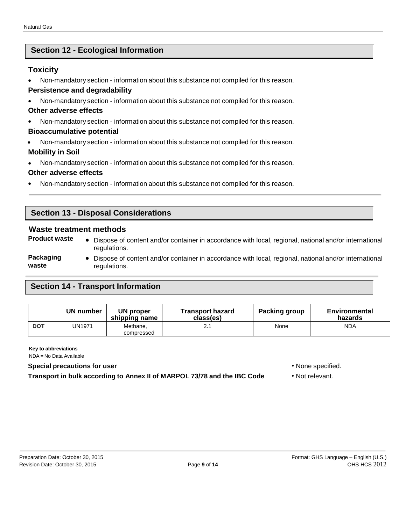# **Section 12 - Ecological Information**

# **Toxicity**

• Non-mandatory section - information about this substance not compiled for this reason.

# **Persistence and degradability**

• Non-mandatory section - information about this substance not compiled for this reason.

#### **Other adverse effects**

• Non-mandatory section - information about this substance not compiled for this reason.

#### **Bioaccumulative potential**

• Non-mandatory section - information about this substance not compiled for this reason.

#### **Mobility in Soil**

• Non-mandatory section - information about this substance not compiled for this reason.

#### **Other adverse effects**

• Non-mandatory section - information about this substance not compiled for this reason.

# **Section 13 - Disposal Considerations**

# **Waste treatment methods**

- 
- **Product waste** Dispose of content and/or container in accordance with local, regional, national and/or international regulations.
- **Packaging waste** • Dispose of content and/or container in accordance with local, regional, national and/or international regulations.

# **Section 14 - Transport Information**

|            | UN number     | UN proper<br>shipping name | <b>Transport hazard</b><br>class(es) | <b>Packing group</b> | <b>Environmental</b><br>hazards |
|------------|---------------|----------------------------|--------------------------------------|----------------------|---------------------------------|
| <b>DOT</b> | <b>JN1971</b> | Methane,<br>compressed     |                                      | None                 | <b>NDA</b>                      |

**Key to abbreviations**

NDA = No Data Available

#### **Special precautions for user** • None specified.

**Transport in bulk according to Annex II of MARPOL 73/78 and the IBC Code** • Not relevant.

- 
-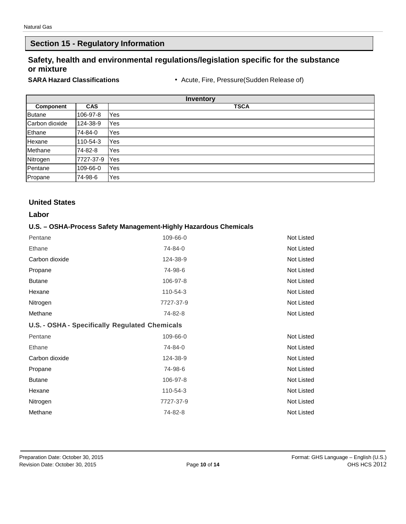# **Section 15 - Regulatory Information**

# **Safety, health and environmental regulations/legislation specific for the substance or mixture**

**SARA Hazard Classifications** • Acute, Fire, Pressure(Sudden Release of)

| <b>Inventory</b> |            |             |  |  |
|------------------|------------|-------------|--|--|
| Component        | <b>CAS</b> | <b>TSCA</b> |  |  |
| <b>Butane</b>    | 106-97-8   | Yes         |  |  |
| Carbon dioxide   | 124-38-9   | Yes         |  |  |
| Ethane           | 74-84-0    | Yes         |  |  |
| Hexane           | 110-54-3   | Yes         |  |  |
| Methane          | 74-82-8    | Yes         |  |  |
| Nitrogen         | 7727-37-9  | Yes         |  |  |
| Pentane          | 109-66-0   | Yes         |  |  |
| Propane          | 74-98-6    | Yes         |  |  |

## **United States**

#### **Labor**

#### **U.S. – OSHA-Process Safety Management-Highly Hazardous Chemicals**

| Pentane                                               | 109-66-0  | Not Listed |
|-------------------------------------------------------|-----------|------------|
| Ethane                                                | 74-84-0   | Not Listed |
| Carbon dioxide                                        | 124-38-9  | Not Listed |
| Propane                                               | 74-98-6   | Not Listed |
| <b>Butane</b>                                         | 106-97-8  | Not Listed |
| Hexane                                                | 110-54-3  | Not Listed |
| Nitrogen                                              | 7727-37-9 | Not Listed |
| Methane                                               | 74-82-8   | Not Listed |
| <b>U.S. - OSHA - Specifically Regulated Chemicals</b> |           |            |
| Pentane                                               | 109-66-0  | Not Listed |
| Ethane                                                | 74-84-0   | Not Listed |
| Carbon dioxide                                        | 124-38-9  | Not Listed |
| Propane                                               | 74-98-6   | Not Listed |
| <b>Butane</b>                                         | 106-97-8  | Not Listed |
| Hexane                                                | 110-54-3  | Not Listed |
| Nitrogen                                              | 7727-37-9 | Not Listed |
| Methane                                               | 74-82-8   | Not Listed |
|                                                       |           |            |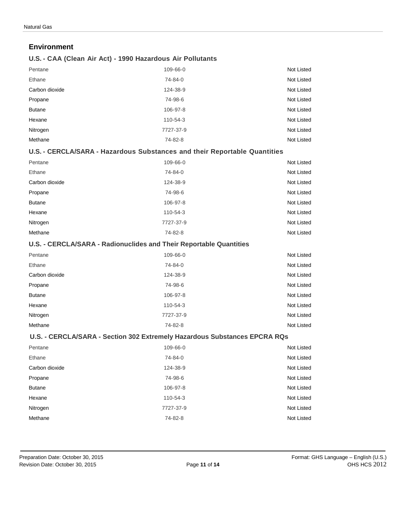#### **Environment**

#### **U.S. - CAA (Clean Air Act) - 1990 Hazardous Air Pollutants**

| Pentane        | 109-66-0  | Not Listed |
|----------------|-----------|------------|
| Ethane         | 74-84-0   | Not Listed |
| Carbon dioxide | 124-38-9  | Not Listed |
| Propane        | 74-98-6   | Not Listed |
| <b>Butane</b>  | 106-97-8  | Not Listed |
| Hexane         | 110-54-3  | Not Listed |
| Nitrogen       | 7727-37-9 | Not Listed |
| Methane        | 74-82-8   | Not Listed |

#### **U.S. - CERCLA/SARA - Hazardous Substances and their Reportable Quantities**

| Pentane        | 109-66-0  | Not Listed |
|----------------|-----------|------------|
| Ethane         | 74-84-0   | Not Listed |
| Carbon dioxide | 124-38-9  | Not Listed |
| Propane        | 74-98-6   | Not Listed |
| <b>Butane</b>  | 106-97-8  | Not Listed |
| Hexane         | 110-54-3  | Not Listed |
| Nitrogen       | 7727-37-9 | Not Listed |
| Methane        | 74-82-8   | Not Listed |

#### **U.S. - CERCLA/SARA - Radionuclides and Their Reportable Quantities**

| Pentane        | 109-66-0  | Not Listed |
|----------------|-----------|------------|
| Ethane         | 74-84-0   | Not Listed |
| Carbon dioxide | 124-38-9  | Not Listed |
| Propane        | 74-98-6   | Not Listed |
| <b>Butane</b>  | 106-97-8  | Not Listed |
| Hexane         | 110-54-3  | Not Listed |
| Nitrogen       | 7727-37-9 | Not Listed |
| Methane        | 74-82-8   | Not Listed |

#### **U.S. - CERCLA/SARA - Section 302 Extremely Hazardous Substances EPCRA RQs**

| Pentane        | 109-66-0       | Not Listed |
|----------------|----------------|------------|
| Ethane         | 74-84-0        | Not Listed |
| Carbon dioxide | 124-38-9       | Not Listed |
| Propane        | 74-98-6        | Not Listed |
| <b>Butane</b>  | 106-97-8       | Not Listed |
| Hexane         | $110 - 54 - 3$ | Not Listed |
| Nitrogen       | 7727-37-9      | Not Listed |
| Methane        | 74-82-8        | Not Listed |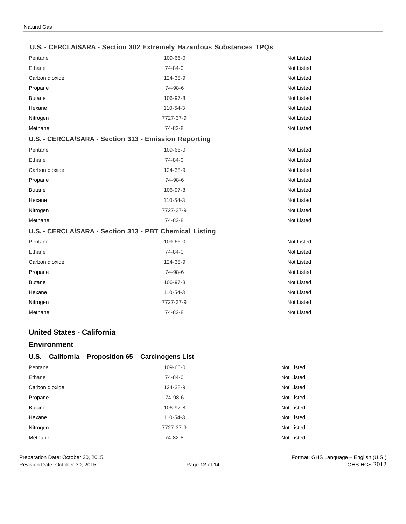#### **U.S. - CERCLA/SARA - Section 302 Extremely Hazardous Substances TPQs**

| Pentane        | 109-66-0                                                | Not Listed        |
|----------------|---------------------------------------------------------|-------------------|
| Ethane         | 74-84-0                                                 | <b>Not Listed</b> |
| Carbon dioxide | 124-38-9                                                | <b>Not Listed</b> |
| Propane        | 74-98-6                                                 | <b>Not Listed</b> |
| <b>Butane</b>  | 106-97-8                                                | Not Listed        |
| Hexane         | 110-54-3                                                | <b>Not Listed</b> |
| Nitrogen       | 7727-37-9                                               | <b>Not Listed</b> |
| Methane        | 74-82-8                                                 | <b>Not Listed</b> |
|                | U.S. - CERCLA/SARA - Section 313 - Emission Reporting   |                   |
| Pentane        | 109-66-0                                                | <b>Not Listed</b> |
| Ethane         | 74-84-0                                                 | <b>Not Listed</b> |
| Carbon dioxide | 124-38-9                                                | <b>Not Listed</b> |
| Propane        | 74-98-6                                                 | <b>Not Listed</b> |
| <b>Butane</b>  | 106-97-8                                                | Not Listed        |
| Hexane         | 110-54-3                                                | Not Listed        |
| Nitrogen       | 7727-37-9                                               | <b>Not Listed</b> |
| Methane        | 74-82-8                                                 | <b>Not Listed</b> |
|                | U.S. - CERCLA/SARA - Section 313 - PBT Chemical Listing |                   |
| Pentane        | 109-66-0                                                | Not Listed        |
| Ethane         | 74-84-0                                                 | <b>Not Listed</b> |
| Carbon dioxide | 124-38-9                                                | <b>Not Listed</b> |
| Propane        | 74-98-6                                                 | Not Listed        |
| <b>Butane</b>  | 106-97-8                                                | <b>Not Listed</b> |
| Hexane         | 110-54-3                                                | <b>Not Listed</b> |
| Nitrogen       | 7727-37-9                                               | <b>Not Listed</b> |
| Methane        | 74-82-8                                                 | Not Listed        |

#### **United States - California**

#### **Environment**

#### **U.S. – California – Proposition 65 – Carcinogens List**

| Pentane        | 109-66-0  | Not Listed |
|----------------|-----------|------------|
| Ethane         | 74-84-0   | Not Listed |
| Carbon dioxide | 124-38-9  | Not Listed |
| Propane        | 74-98-6   | Not Listed |
| <b>Butane</b>  | 106-97-8  | Not Listed |
| Hexane         | 110-54-3  | Not Listed |
| Nitrogen       | 7727-37-9 | Not Listed |
| Methane        | 74-82-8   | Not Listed |
|                |           |            |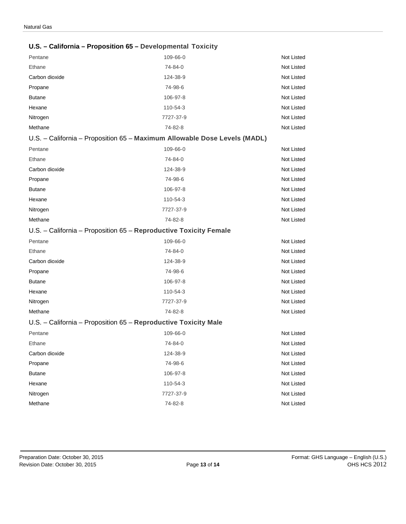|                | U.S. - California - Proposition 65 - Developmental Toxicity               |                   |
|----------------|---------------------------------------------------------------------------|-------------------|
| Pentane        | 109-66-0                                                                  | Not Listed        |
| Ethane         | 74-84-0                                                                   | Not Listed        |
| Carbon dioxide | 124-38-9                                                                  | Not Listed        |
| Propane        | 74-98-6                                                                   | Not Listed        |
| <b>Butane</b>  | 106-97-8                                                                  | Not Listed        |
| Hexane         | 110-54-3                                                                  | Not Listed        |
| Nitrogen       | 7727-37-9                                                                 | Not Listed        |
| Methane        | 74-82-8                                                                   | Not Listed        |
|                | U.S. - California - Proposition 65 - Maximum Allowable Dose Levels (MADL) |                   |
| Pentane        | 109-66-0                                                                  | Not Listed        |
| Ethane         | 74-84-0                                                                   | Not Listed        |
| Carbon dioxide | 124-38-9                                                                  | Not Listed        |
| Propane        | 74-98-6                                                                   | <b>Not Listed</b> |
| <b>Butane</b>  | 106-97-8                                                                  | Not Listed        |
| Hexane         | 110-54-3                                                                  | Not Listed        |
| Nitrogen       | 7727-37-9                                                                 | Not Listed        |
| Methane        | 74-82-8                                                                   | Not Listed        |
|                | U.S. - California - Proposition 65 - Reproductive Toxicity Female         |                   |
| Pentane        | 109-66-0                                                                  | Not Listed        |
| Ethane         | 74-84-0                                                                   | Not Listed        |
| Carbon dioxide | 124-38-9                                                                  | Not Listed        |
| Propane        | 74-98-6                                                                   | Not Listed        |
| <b>Butane</b>  | 106-97-8                                                                  | Not Listed        |
| Hexane         | 110-54-3                                                                  | Not Listed        |
| Nitrogen       | 7727-37-9                                                                 | Not Listed        |
| Methane        | 74-82-8                                                                   | Not Listed        |
|                | U.S. - California - Proposition 65 - Reproductive Toxicity Male           |                   |
| Pentane        | 109-66-0                                                                  | <b>Not Listed</b> |
| Ethane         | 74-84-0                                                                   | Not Listed        |
| Carbon dioxide | 124-38-9                                                                  | Not Listed        |
| Propane        | 74-98-6                                                                   | Not Listed        |
| <b>Butane</b>  | 106-97-8                                                                  | Not Listed        |
| Hexane         | 110-54-3                                                                  | Not Listed        |
| Nitrogen       | 7727-37-9                                                                 | Not Listed        |
| Methane        | 74-82-8                                                                   | Not Listed        |